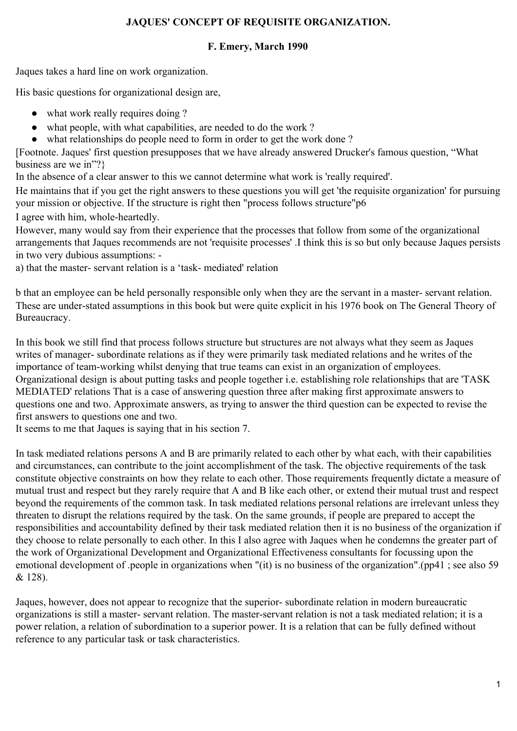## **JAQUES' CONCEPT OF REQUISITE ORGANIZATION.**

## **F. Emery, March 1990**

Jaques takes a hard line on work organization.

His basic questions for organizational design are,

- what work really requires doing ?
- what people, with what capabilities, are needed to do the work?
- what relationships do people need to form in order to get the work done ?

[Footnote. Jaques' first question presupposes that we have already answered Drucker's famous question, "What business are we in"?}

In the absence of a clear answer to this we cannot determine what work is 'really required'.

He maintains that if you get the right answers to these questions you will get 'the requisite organization' for pursuing your mission or objective. If the structure is right then "process follows structure"p6

I agree with him, whole-heartedly.

However, many would say from their experience that the processes that follow from some of the organizational arrangements that Jaques recommends are not 'requisite processes' .I think this is so but only because Jaques persists in two very dubious assumptions: -

a) that the master- servant relation is a 'task- mediated' relation

b that an employee can be held personally responsible only when they are the servant in a master- servant relation. These are under-stated assumptions in this book but were quite explicit in his 1976 book on The General Theory of Bureaucracy.

In this book we still find that process follows structure but structures are not always what they seem as Jaques writes of manager- subordinate relations as if they were primarily task mediated relations and he writes of the importance of team-working whilst denying that true teams can exist in an organization of employees. Organizational design is about putting tasks and people together i.e. establishing role relationships that are 'TASK MEDIATED' relations That is a case of answering question three after making first approximate answers to questions one and two. Approximate answers, as trying to answer the third question can be expected to revise the first answers to questions one and two.

It seems to me that Jaques is saying that in his section 7.

In task mediated relations persons A and B are primarily related to each other by what each, with their capabilities and circumstances, can contribute to the joint accomplishment of the task. The objective requirements of the task constitute objective constraints on how they relate to each other. Those requirements frequently dictate a measure of mutual trust and respect but they rarely require that A and B like each other, or extend their mutual trust and respect beyond the requirements of the common task. In task mediated relations personal relations are irrelevant unless they threaten to disrupt the relations required by the task. On the same grounds, if people are prepared to accept the responsibilities and accountability defined by their task mediated relation then it is no business of the organization if they choose to relate personally to each other. In this I also agree with Jaques when he condemns the greater part of the work of Organizational Development and Organizational Effectiveness consultants for focussing upon the emotional development of .people in organizations when "(it) is no business of the organization".(pp41 ; see also 59 & 128).

Jaques, however, does not appear to recognize that the superior- subordinate relation in modern bureaucratic organizations is still a master- servant relation. The master-servant relation is not a task mediated relation; it is a power relation, a relation of subordination to a superior power. It is a relation that can be fully defined without reference to any particular task or task characteristics.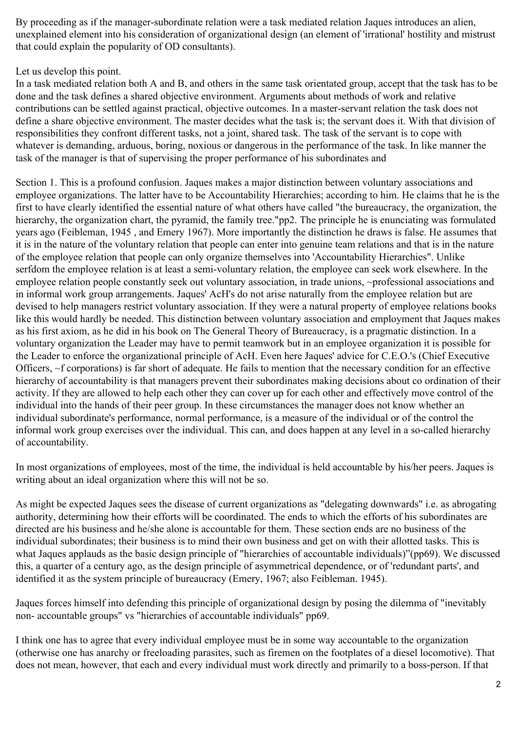By proceeding as if the manager-subordinate relation were a task mediated relation Jaques introduces an alien, unexplained element into his consideration of organizational design (an element of 'irrational' hostility and mistrust that could explain the popularity of OD consultants).

## Let us develop this point.

In a task mediated relation both A and B, and others in the same task orientated group, accept that the task has to be done and the task defines a shared objective environment. Arguments about methods of work and relative contributions can be settled against practical, objective outcomes. In a master-servant relation the task does not define a share objective environment. The master decides what the task is; the servant does it. With that division of responsibilities they confront different tasks, not a joint, shared task. The task of the servant is to cope with whatever is demanding, arduous, boring, noxious or dangerous in the performance of the task. In like manner the task of the manager is that of supervising the proper performance of his subordinates and

Section 1. This is a profound confusion. Jaques makes a major distinction between voluntary associations and employee organizations. The latter have to be Accountability Hierarchies; according to him. He claims that he is the first to have clearly identified the essential nature of what others have called "the bureaucracy, the organization, the hierarchy, the organization chart, the pyramid, the family tree."pp2. The principle he is enunciating was formulated years ago (Feibleman, 1945 , and Emery 1967). More importantly the distinction he draws is false. He assumes that it is in the nature of the voluntary relation that people can enter into genuine team relations and that is in the nature of the employee relation that people can only organize themselves into 'Accountability Hierarchies". Unlike serfdom the employee relation is at least a semi-voluntary relation, the employee can seek work elsewhere. In the employee relation people constantly seek out voluntary association, in trade unions, ~professional associations and in informal work group arrangements. Jaques' AcH's do not arise naturally from the employee relation but are devised to help managers restrict voluntary association. If they were a natural property of employee relations books like this would hardly be needed. This distinction between voluntary association and employment that Jaques makes as his first axiom, as he did in his book on The General Theory of Bureaucracy, is a pragmatic distinction. In a voluntary organization the Leader may have to permit teamwork but in an employee organization it is possible for the Leader to enforce the organizational principle of AcH. Even here Jaques' advice for C.E.O.'s (Chief Executive Officers, ~f corporations) is far short of adequate. He fails to mention that the necessary condition for an effective hierarchy of accountability is that managers prevent their subordinates making decisions about co ordination of their activity. If they are allowed to help each other they can cover up for each other and effectively move control of the individual into the hands of their peer group. In these circumstances the manager does not know whether an individual subordinate's performance, normal performance, is a measure of the individual or of the control the informal work group exercises over the individual. This can, and does happen at any level in a so-called hierarchy of accountability.

In most organizations of employees, most of the time, the individual is held accountable by his/her peers. Jaques is writing about an ideal organization where this will not be so.

As might be expected Jaques sees the disease of current organizations as "delegating downwards" i.e. as abrogating authority, determining how their efforts will be coordinated. The ends to which the efforts of his subordinates are directed are his business and he/she alone is accountable for them. These section ends are no business of the individual subordinates; their business is to mind their own business and get on with their allotted tasks. This is what Jaques applauds as the basic design principle of "hierarchies of accountable individuals)"(pp69). We discussed this, a quarter of a century ago, as the design principle of asymmetrical dependence, or of 'redundant parts', and identified it as the system principle of bureaucracy (Emery, 1967; also Feibleman. 1945).

Jaques forces himself into defending this principle of organizational design by posing the dilemma of "inevitably non- accountable groups" vs "hierarchies of accountable individuals" pp69.

I think one has to agree that every individual employee must be in some way accountable to the organization (otherwise one has anarchy or freeloading parasites, such as firemen on the footplates of a diesel locomotive). That does not mean, however, that each and every individual must work directly and primarily to a boss-person. If that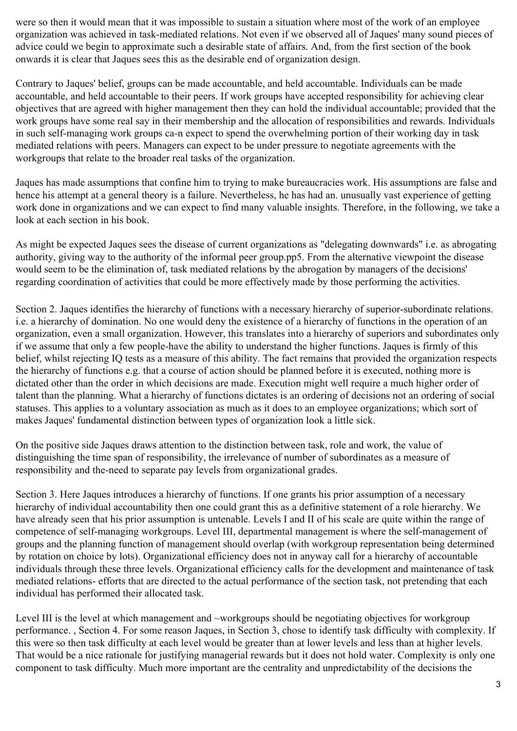were so then it would mean that it was impossible to sustain a situation where most of the work of an employee organization was achieved in task-mediated relations. Not even if we observed all of Jaques' many sound pieces of advice could we begin to approximate such a desirable state of affairs. And, from the first section of the book onwards it is clear that Jaques sees this as the desirable end of organization design.

Contrary to Jaques' belief, groups can be made accountable, and held accountable. Individuals can be made accountable, and held accountable to their peers. If work groups have accepted responsibility for achieving clear objectives that are agreed with higher management then they can hold the individual accountable; provided that the work groups have some real say in their membership and the allocation of responsibilities and rewards. Individuals in such self-managing work groups ca-n expect to spend the overwhelming portion of their working day in task mediated relations with peers. Managers can expect to be under pressure to negotiate agreements with the workgroups that relate to the broader real tasks of the organization.

Jaques has made assumptions that confine him to trying to make bureaucracies work. His assumptions are false and hence his attempt at a general theory is a failure. Nevertheless, he has had an. unusually vast experience of getting work done in organizations and we can expect to find many valuable insights. Therefore, in the following, we take a look at each section in his book.

As might be expected Jaques sees the disease of current organizations as "delegating downwards" i.e. as abrogating authority, giving way to the authority of the informal peer group.pp5. From the alternative viewpoint the disease would seem to be the elimination of, task mediated relations by the abrogation by managers of the decisions' regarding coordination of activities that could be more effectively made by those performing the activities.

Section 2. Jaques identifies the hierarchy of functions with a necessary hierarchy of superior-subordinate relations. i.e. a hierarchy of domination. No one would deny the existence of a hierarchy of functions in the operation of an organization, even a small organization. However, this translates into a hierarchy of superiors and subordinates only if we assume that only a few people-have the ability to understand the higher functions. Jaques is firmly of this belief, whilst rejecting IQ tests as a measure of this ability. The fact remains that provided the organization respects the hierarchy of functions e.g. that a course of action should be planned before it is executed, nothing more is dictated other than the order in which decisions are made. Execution might well require a much higher order of talent than the planning. What a hierarchy of functions dictates is an ordering of decisions not an ordering of social statuses. This applies to a voluntary association as much as it does to an employee organizations; which sort of makes Jaques' fundamental distinction between types of organization look a little sick.

On the positive side Jaques draws attention to the distinction between task, role and work, the value of distinguishing the time span of responsibility, the irrelevance of number of subordinates as a measure of responsibility and the-need to separate pay levels from organizational grades.

Section 3. Here Jaques introduces a hierarchy of functions. If one grants his prior assumption of a necessary hierarchy of individual accountability then one could grant this as a definitive statement of a role hierarchy. We have already seen that his prior assumption is untenable. Levels I and II of his scale are quite within the range of competence of self-managing workgroups. Level III, departmental management is where the self-management of groups and the planning function of management should overlap (with workgroup representation being determined by rotation on choice by lots). Organizational efficiency does not in anyway call for a hierarchy of accountable individuals through these three levels. Organizational efficiency calls for the development and maintenance of task mediated relations- efforts that are directed to the actual performance of the section task, not pretending that each individual has performed their allocated task.

Level III is the level at which management and ~workgroups should be negotiating objectives for workgroup performance. , Section 4. For some reason Jaques, in Section 3, chose to identify task difficulty with complexity. If this were so then task difficulty at each level would be greater than at lower levels and less than at higher levels. That would be a nice rationale for justifying managerial rewards but it does not hold water. Complexity is only one component to task difficulty. Much more important are the centrality and unpredictability of the decisions the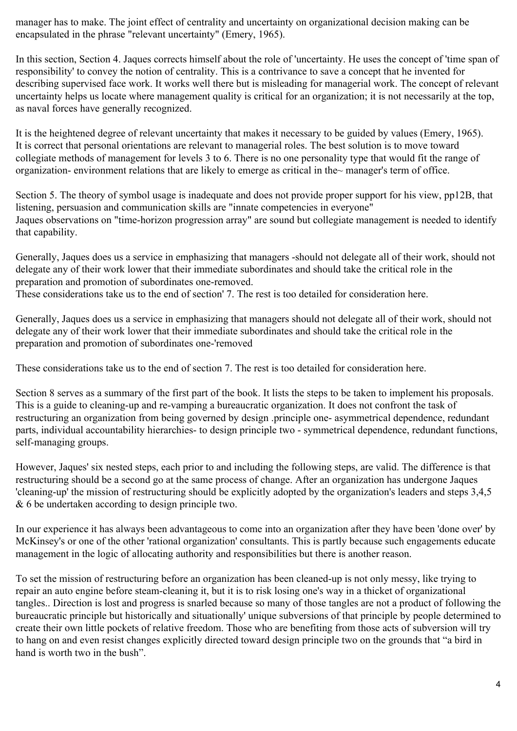manager has to make. The joint effect of centrality and uncertainty on organizational decision making can be encapsulated in the phrase "relevant uncertainty" (Emery, 1965).

In this section, Section 4. Jaques corrects himself about the role of 'uncertainty. He uses the concept of 'time span of responsibility' to convey the notion of centrality. This is a contrivance to save a concept that he invented for describing supervised face work. It works well there but is misleading for managerial work. The concept of relevant uncertainty helps us locate where management quality is critical for an organization; it is not necessarily at the top, as naval forces have generally recognized.

It is the heightened degree of relevant uncertainty that makes it necessary to be guided by values (Emery, 1965). It is correct that personal orientations are relevant to managerial roles. The best solution is to move toward collegiate methods of management for levels 3 to 6. There is no one personality type that would fit the range of organization- environment relations that are likely to emerge as critical in the~ manager's term of office.

Section 5. The theory of symbol usage is inadequate and does not provide proper support for his view, pp12B, that listening, persuasion and communication skills are "innate competencies in everyone" Jaques observations on "time-horizon progression array" are sound but collegiate management is needed to identify that capability.

Generally, Jaques does us a service in emphasizing that managers -should not delegate all of their work, should not delegate any of their work lower that their immediate subordinates and should take the critical role in the preparation and promotion of subordinates one-removed.

These considerations take us to the end of section' 7. The rest is too detailed for consideration here.

Generally, Jaques does us a service in emphasizing that managers should not delegate all of their work, should not delegate any of their work lower that their immediate subordinates and should take the critical role in the preparation and promotion of subordinates one-'removed

These considerations take us to the end of section 7. The rest is too detailed for consideration here.

Section 8 serves as a summary of the first part of the book. It lists the steps to be taken to implement his proposals. This is a guide to cleaning-up and re-vamping a bureaucratic organization. It does not confront the task of restructuring an organization from being governed by design .principle one- asymmetrical dependence, redundant parts, individual accountability hierarchies- to design principle two - symmetrical dependence, redundant functions, self-managing groups.

However, Jaques' six nested steps, each prior to and including the following steps, are valid. The difference is that restructuring should be a second go at the same process of change. After an organization has undergone Jaques 'cleaning-up' the mission of restructuring should be explicitly adopted by the organization's leaders and steps 3,4,5 & 6 be undertaken according to design principle two.

In our experience it has always been advantageous to come into an organization after they have been 'done over' by McKinsey's or one of the other 'rational organization' consultants. This is partly because such engagements educate management in the logic of allocating authority and responsibilities but there is another reason.

To set the mission of restructuring before an organization has been cleaned-up is not only messy, like trying to repair an auto engine before steam-cleaning it, but it is to risk losing one's way in a thicket of organizational tangles.. Direction is lost and progress is snarled because so many of those tangles are not a product of following the bureaucratic principle but historically and situationally' unique subversions of that principle by people determined to create their own little pockets of relative freedom. Those who are benefiting from those acts of subversion will try to hang on and even resist changes explicitly directed toward design principle two on the grounds that "a bird in hand is worth two in the bush".